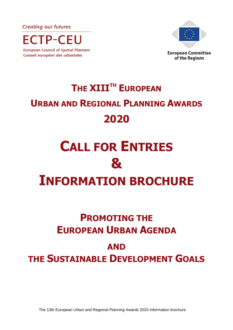**Creating our futures** 

**ECTP-CEU European Council of Spatial Planners** 

Conseil européen des urbanistes



# **THE XIIITH EUROPEAN URBAN AND REGIONAL PLANNING AWARDS 2020**

# **CALL FOR ENTRIES & INFORMATION BROCHURE**

## **PROMOTING THE EUROPEAN URBAN AGENDA**

### **AND THE SUSTAINABLE DEVELOPMENT GOALS**

The 13th European Urban and Regional Planning Awards 2020 Information brochure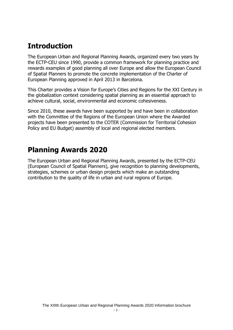#### **Introduction**

The European Urban and Regional Planning Awards, organized every two years by the ECTP-CEU since 1990, provide a common framework for planning practice and rewards examples of good planning all over Europe and allow the European Council of Spatial Planners to promote the concrete implementation of the Charter of European Planning approved in April 2013 in Barcelona.

This Charter provides a Vision for Europe's Cities and Regions for the XXI Century in the globalization context considering spatial planning as an essential approach to achieve cultural, social, environmental and economic cohesiveness.

Since 2010, these awards have been supported by and have been in collaboration with the Committee of the Regions of the European Union where the Awarded projects have been presented to the COTER (Commission for Territorial Cohesion Policy and EU Budget) assembly of local and regional elected members.

#### **Planning Awards 2020**

The European Urban and Regional Planning Awards, presented by the ECTP-CEU (European Council of Spatial Planners), give recognition to planning developments, strategies, schemes or urban design projects which make an outstanding contribution to the quality of life in urban and rural regions of Europe.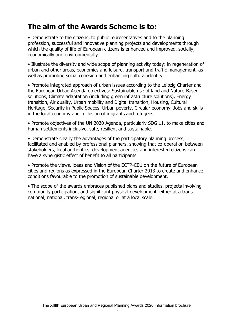#### **The aim of the Awards Scheme is to:**

• Demonstrate to the citizens, to public representatives and to the planning profession, successful and innovative planning projects and developments through which the quality of life of European citizens is enhanced and improved, socially, economically and environmentally.

• Illustrate the diversity and wide scope of planning activity today: in regeneration of urban and other areas, economics and leisure, transport and traffic management, as well as promoting social cohesion and enhancing cultural identity.

• Promote integrated approach of urban issues according to the Leipzig Charter and the European Urban Agenda objectives: Sustainable use of land and Nature-Based solutions, Climate adaptation (including green infrastructure solutions), Energy transition, Air quality, Urban mobility and Digital transition, Housing, Cultural Heritage, Security in Public Spaces, Urban poverty, Circular economy, Jobs and skills in the local economy and Inclusion of migrants and refugees.

• Promote objectives of the UN 2030 Agenda, particularly SDG 11, to make cities and human settlements inclusive, safe, resilient and sustainable.

• Demonstrate clearly the advantages of the participatory planning process, facilitated and enabled by professional planners, showing that co-operation between stakeholders, local authorities, development agencies and interested citizens can have a synergistic effect of benefit to all participants.

• Promote the views, ideas and Vision of the ECTP-CEU on the future of European cities and regions as expressed in the European Charter 2013 to create and enhance conditions favourable to the promotion of sustainable development.

• The scope of the awards embraces published plans and studies, projects involving community participation, and significant physical development, either at a transnational, national, trans-regional, regional or at a local scale.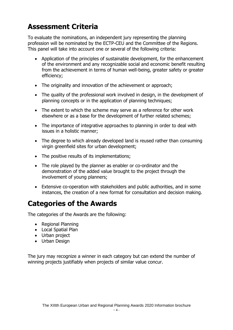#### **Assessment Criteria**

To evaluate the nominations, an independent jury representing the planning profession will be nominated by the ECTP-CEU and the Committee of the Regions. This panel will take into account one or several of the following criteria:

- Application of the principles of sustainable development, for the enhancement of the environment and any recognizable social and economic benefit resulting from the achievement in terms of human well-being, greater safety or greater efficiency;
- The originality and innovation of the achievement or approach;
- The quality of the professional work involved in design, in the development of planning concepts or in the application of planning techniques;
- The extent to which the scheme may serve as a reference for other work elsewhere or as a base for the development of further related schemes;
- The importance of integrative approaches to planning in order to deal with issues in a holistic manner;
- The degree to which already developed land is reused rather than consuming virgin greenfield sites for urban development;
- The positive results of its implementations;
- The role played by the planner as enabler or co-ordinator and the demonstration of the added value brought to the project through the involvement of young planners;
- Extensive co-operation with stakeholders and public authorities, and in some instances, the creation of a new format for consultation and decision making.

#### **Categories of the Awards**

The categories of the Awards are the following:

- Regional Planning
- Local Spatial Plan
- Urban project
- Urban Design

The jury may recognize a winner in each category but can extend the number of winning projects justifiably when projects of similar value concur.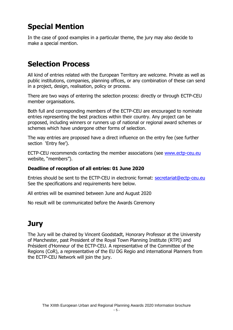### **Special Mention**

In the case of good examples in a particular theme, the jury may also decide to make a special mention.

#### **Selection Process**

All kind of entries related with the European Territory are welcome. Private as well as public institutions, companies, planning offices, or any combination of these can send in a project, design, realisation, policy or process.

There are two ways of entering the selection process: directly or through ECTP-CEU member organisations.

Both full and corresponding members of the ECTP-CEU are encouraged to nominate entries representing the best practices within their country. Any project can be proposed, including winners or runners up of national or regional award schemes or schemes which have undergone other forms of selection.

The way entries are proposed have a direct influence on the entry fee (see further section 'Entry fee').

ECTP-CEU recommends contacting the member associations (see [www.ectp-ceu.eu](http://www.ectp-ceu.eu/) website, "members").

#### **Deadline of reception of all entries: 01 June 2020**

Entries should be sent to the ECTP-CEU in electronic format: [secretariat@ectp-ceu.eu](mailto:secretariat@ectp-ceu.eu) See the specifications and requirements here below.

All entries will be examined between June and August 2020

No result will be communicated before the Awards Ceremony

#### **Jury**

The Jury will be chaired by Vincent Goodstadt, Honorary Professor at the University of Manchester, past President of the Royal Town Planning Institute (RTPI) and Président d'Honneur of the ECTP-CEU. A representative of the Committee of the Regions (CoR), a representative of the EU DG Regio and international Planners from the ECTP-CEU Network will join the jury.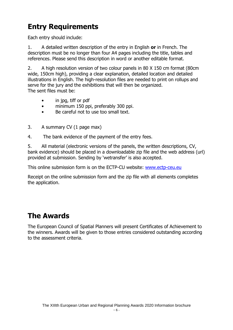#### **Entry Requirements**

Each entry should include:

1. A detailed written description of the entry in English **or** in French. The description must be no longer than four A4 pages including the title, tables and references. Please send this description in word or another editable format.

2. A high resolution version of two colour panels in 80 X 150 cm format (80cm wide, 150cm high), providing a clear explanation, detailed location and detailed illustrations in English. The high-resolution files are needed to print on rollups and serve for the jury and the exhibitions that will then be organized. The sent files must be:

- in jpg, tiff or pdf
- minimum 150 ppi, preferably 300 ppi.
- Be careful not to use too small text.
- 3. A summary CV (1 page max)

4. The bank evidence of the payment of the entry fees.

5. All material (electronic versions of the panels, the written descriptions, CV, bank evidence) should be placed in a downloadable zip file and the web address (url) provided at submission. Sending by 'wetransfer' is also accepted.

This online submission form is on the ECTP-CU website: [www.ectp-ceu.eu](http://www.ectp-ceu.eu/)

Receipt on the online submission form and the zip file with all elements completes the application.

#### **The Awards**

The European Council of Spatial Planners will present Certificates of Achievement to the winners. Awards will be given to those entries considered outstanding according to the assessment criteria.